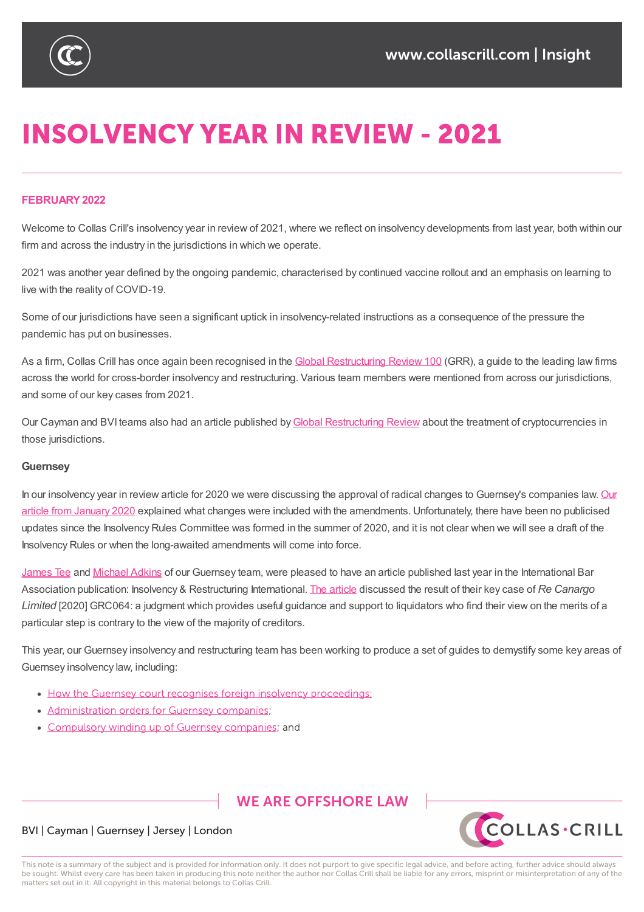

# **INSOLVENCY YEAR IN REVIEW - 2021**

## **FEBRUARY2022**

Welcome to Collas Crill's insolvency year in review of 2021, where we reflect on insolvency developments from last year, both within our firm and across the industry in the jurisdictions in which we operate.

2021 was another year defined by the ongoing pandemic, characterised by continued vaccine rollout and an emphasis on learning to live with the reality of COVID-19.

Some of our jurisdictions have seen a significant uptick in insolvency-related instructions as a consequence of the pressure the pandemic has put on businesses.

As a firm, Collas Crill has once again been recognised in the Global Restructuring Review 100 (GRR), a guide to the leading law firms across the world for cross-border insolvency and restructuring. Various team members were mentioned from across our jurisdictions, and some of our key cases from 2021.

Our Cayman and BVI teams also had an article published by Global [Restructuring](https://www.collascrill.com/news-updates/articles/collas-crill-ranked-in-global-restructuring-review-top-100/) Review about the treatment of cryptocurrencies in those jurisdictions.

## **Guernsey**

In our insolvency year in review article for 2020 we were discussing the approval of radical changes to Guernsey's companies law. Our article from January 2020 explained what changes were included with the amendments. Unfortunately, there have been no publicised updates since the Insolvency Rules Committee was formed in the summer of 2020, and it is not clear when we will see a draft of the Insolvency Rules or when the long-awaited [amendments](https://www.collascrill.com/news-updates/articles/insolvency-overhaul-arrives-with-more-powers-come-more-responsibilities/) will come into force.

James Tee and Michael Adkins of our Guernsey team, were pleased to have an article published last year in the International Bar Association publication: Insolvency & Restructuring International. The article discussed the result of their key case of *Re Canargo Limited* [2020] GRC064: a judgment which provides useful guidance and support to liquidators who find their view on the merits of a [particular](https://www.collascrill.com/who-we-are/t/james-tee/) step is [contrary](https://www.collascrill.com/who-we-are/a/michael-adkins/) to the view of the majority of creditors.

This year, our Guernsey insolvency and restructuring team has been [working](https://www.collascrill.com/news-updates/articles/democracy-or-dictatorship-the-relevance-of-majority-creditor-views-in-liquidators-decision-making/) to produce a set of guides to demystify some key areas of Guernsey insolvency law, including:

- How the Guernsey court recognises foreign insolvency proceedings;
- Administration orders for Guernsey companies;
- Compulsory winding up of Guernsey companies; and

# **WE ARE OFFSHORE LAW**



# BVI | Cayman | Guernsey | Jersey | London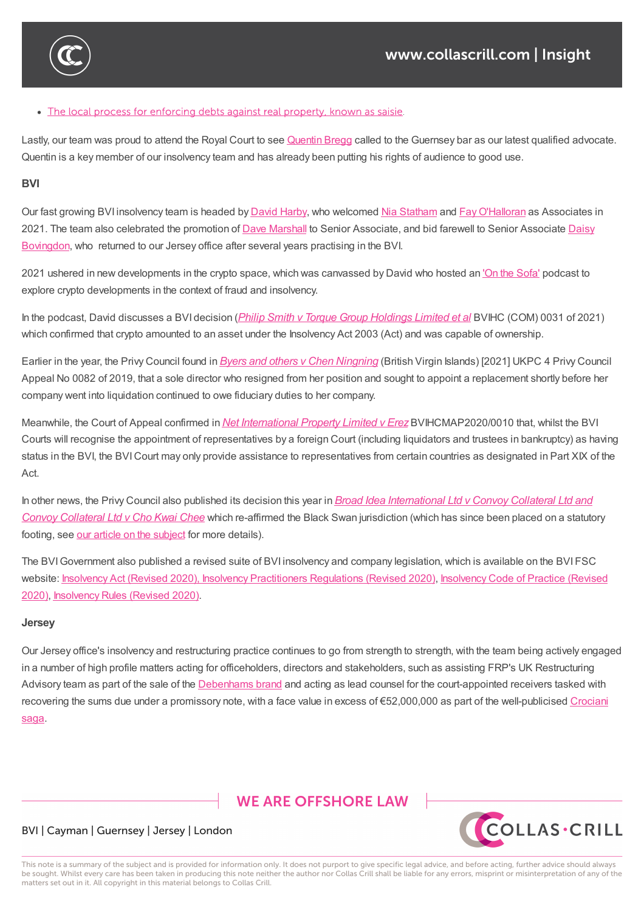

## • The local process for enforcing debts against real property, known as saisie

Lastly, our team was proud to attend the Royal Court to see Quentin Bregg called to the Guernsey bar as our latest qualified advocate. Quentin is a key member of our [insolvency](https://www.collascrill.com/knowledge-documents/guides/collas-crill-explains-saisie-enforcement-in-guernsey/) team and has already been putting his rights of audience to good use.

#### **BVI**

Our fast growing BVI insolvency team is headed by David Harby, who welcomed Nia Statham and Fay O'Halloran as Associates in 2021. The team also celebrated the promotion of Dave Marshall to Senior Associate, and bid farewell to Senior Associate Daisy Bovingdon, who returned to our Jersey office after several years practising in the BVI.

2021 ushered in new developments in the crypto space, [which](https://www.collascrill.com/who-we-are/h/david-harby/) was canvassed by [David](https://www.collascrill.com/who-we-are/s/nia-statham/) who hosted an ['On](https://www.collascrill.com/who-we-are/o/fay-ohalloran/) the Sofa' podcast to explore crypto [developments](https://www.collascrill.com/who-we-are/b/daisy-bovingdon/) in the context of fraud and [insolvenc](https://www.collascrill.com/who-we-are/m/dave-marshall/)y.

In the podcast, David discusses a BVI decision (*Philip Smith v Torque Group Holdings Limited et al* BVIHC (COM) 0031 of 2021) which confirmed that crypto amounted to an asset under the Insolvency Act 2003 (Act) and was capable of [ownership](https://www.collascrill.com/news-updates/articles/on-the-sofa-podcast-all-things-crypto/).

Earlier in the year, the Privy Council found in *Byers and others v Chen Ningning* (British Virgin Islands) [2021] UKPC 4 Privy Council Appeal No 0082 of 2019, that a sole director who [resigned](https://www.eccourts.org/philip-smith-v-torque-group-holdings-limited-et-al/) from her position and sought to appoint a replacement shortly before her company went into liquidation continued to owe fiduciary duties to her company.

Meanwhile, the Court of Appeal confirmed in *Net [International](https://www.collascrill.com/news-updates/articles/fiduciary-duties-owed-by-the-ultimate-boss-in-de-jure-directorship-roles/) Property Limited v Erez*BVIHCMAP2020/0010 that, whilst the BVI Courts will recognise the appointment of representatives by a foreign Court (including liquidators and trustees in bankruptcy) as having status in the BVI, the BVI Court may only provide assistance to representatives from certain countries as designated in Part XIX of the Act.

In other news, the Privy Council also published its decision this year in *Broad Idea International Ltd v Convoy Collateral Ltd and Convoy Collateral Ltd v Cho Kwai Chee* which re-affirmed the Black Swan jurisdiction (which has since been placed on a statutory footing, see our article on the subject for more details).

The [BVIGovernment](https://www.collascrill.com/news-updates/articles/the-bvi-common-law-after-broad-idea/) also published a revised suite of BVI insolvency and company legislation, which is available on the BVI FSC website: Insolvency Act (Revised 2020), Insolvency Practitioners Regulations (Revised 2020), Insolvency Code of Practice (Revised 2020), Insolvency Rules [\(Revised](https://www.collascrill.com/news-updates/articles/the-black-swan-flies-again/) 2020).

## **Jersey**

Our Jersey office's [insolvency](https://www.bvifsc.vg/library/legislation/insolvency-rules-revised-2020) and [restructuring](https://www.bvifsc.vg/library/legislation/insolvency-code-practice-revised-2020) practice continues to go from strength to strength, with the team being actively engaged in a number of high profile matters acting for officeholders, directors and stakeholders, such as assisting FRP's UK Restructuring Advisory team as part of the sale of the Debenhams brand and acting as lead counsel for the court-appointed receivers tasked with recovering the sums due under a promissory note, with a face value in excess of €52,000,000 as part of the well-publicised Crociani saga.

# **WE ARE OFFSHORE LAW**



# BVI | Cayman | Guernsey | Jersey | London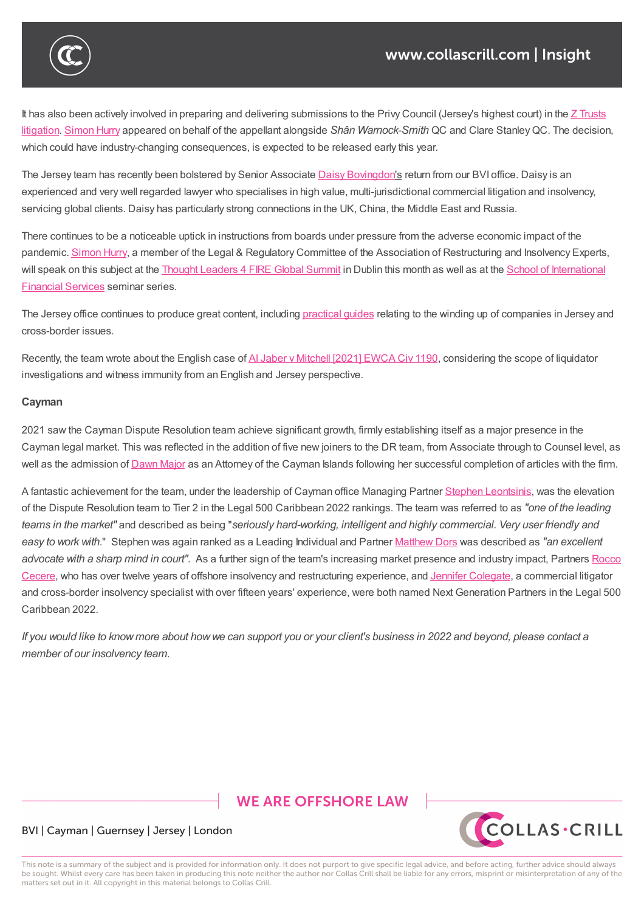It has also been actively involved in preparing and delivering submissions to the Privy Council (Jersey's highest court) in the Z Trusts litigation. Simon Hurry appeared on behalf of the appellant alongside *Shân Warnock*-*Smith* QC and Clare StanleyQC. The decision, which could have industry-changing consequences, is expected to be released early this year.

The Jersey team has recently been bolstered by Senior Associate Daisy [Bovingdon's](https://www.jcpc.uk/cases/jcpc-2019-0119.html) return from our BVI office. Daisy is an experienced and [very](https://www.collascrill.com/who-we-are/h/simon-hurry/) well regarded lawyer who specialises in high value, multi-jurisdictional commercial litigation and insolvency, servicing global clients. Daisy has particularly strong connections in the UK, China, the Middle East and Russia.

There continues to be a noticeable uptick in instructions from boards under [pressure](https://www.collascrill.com/who-we-are/b/daisy-bovingdon/) from the adverse economic impact of the pandemic. Simon Hurry, a member of the Legal & Regulatory Committee of the Association of Restructuring and Insolvency Experts, will speak on this subject at the Thought Leaders 4 FIRE Global Summit in Dublin this month as well as at the School of International Financial Services seminar series.

The Jersey office [contin](https://www.collascrill.com/who-we-are/h/simon-hurry/)ues to produce great content, [including](https://thoughtleaders4.com/fire/fire-event/fire-starters-global-summit) practical guides relating to the winding up of companies in Jersey and [cross-border](https://www.collascrill.com/events/2022/understanding-your-liabilities-as-a-jersey-director/) issues.

Recently, the team wrote about the English case of AI Jaber v Mitchell [2021] EWCA Civ 1190, considering the scope of liquidator investigations and witness immunity from an English and Jersey [perspective.](https://www.collascrill.com/knowledge/jersey/dispute-resolution/guide/)

## **Cayman**

2021 saw the Cayman Dispute Resolution team achieve significant growth, firmly establishing itself as a major presence in the Cayman legal market. This was reflected in the addition of five new joiners to the DR team, from Associate through to Counsel level, as well as the admission of Dawn Major as an Attorney of the Cayman Islands following her successful completion of articles with the firm.

A fantastic achievement for the team, under the leadership of Cayman office Managing Partner Stephen Leontsinis, was the elevation of the Dispute Resolution team to Tier 2 in the Legal 500 Caribbean 2022 rankings. The team was referred to as *"one of the leading teams in the market"* and [described](https://www.collascrill.com/who-we-are/m/dawn-major/) as being "*seriously hard-working, intelligent and highly commercial. Very user friendly and easy to work with*." Stephen was again ranked as a Leading Individual and Partner Matthew Dors was [described](https://www.collascrill.com/who-we-are/l/stephen-leontsinis/) as *"an excellent advocate with a sharp mind in court".* As a further sign of the team's increasing market presence and industry impact, Partners Rocco Cecere, who has over twelve years of offshore insolvency and restructuring experience, and Jennifer Colegate, a commercial litigator and cross-border insolvency specialist with over fifteen years' experience, were both [named](https://www.collascrill.com/who-we-are/d/matthew-dors/) Next Generation Partners in the Legal 500 [Caribbean](https://www.collascrill.com/who-we-are/c/rocco-cecere/) 2022.

If you would like to know more about how we can support you or your client's business in 2022 and [beyond,](https://www.collascrill.com/who-we-are/c/jennifer-colegate/) please contact a *member of our insolvency team.*

# **WE ARE OFFSHORE LAW**



# BVI | Cayman | Guernsey | Jersey | London